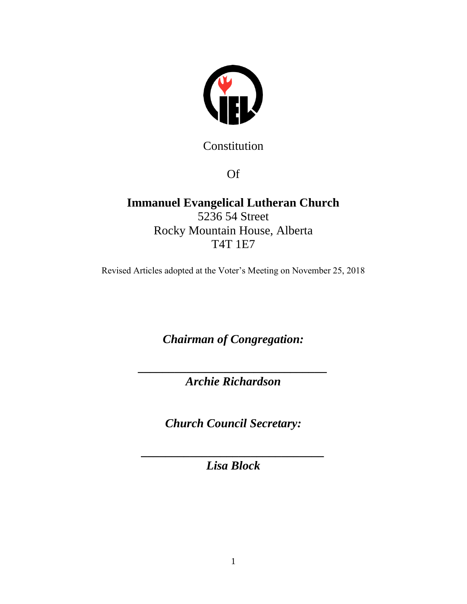

Constitution

Of

**Immanuel Evangelical Lutheran Church** 5236 54 Street Rocky Mountain House, Alberta T4T 1E7

Revised Articles adopted at the Voter's Meeting on November 25, 2018

*Chairman of Congregation:*

*\_\_\_\_\_\_\_\_\_\_\_\_\_\_\_\_\_\_\_\_\_\_\_\_\_\_\_\_\_\_\_ Archie Richardson*

*Church Council Secretary:*

*\_\_\_\_\_\_\_\_\_\_\_\_\_\_\_\_\_\_\_\_\_\_\_\_\_\_\_\_\_\_ Lisa Block*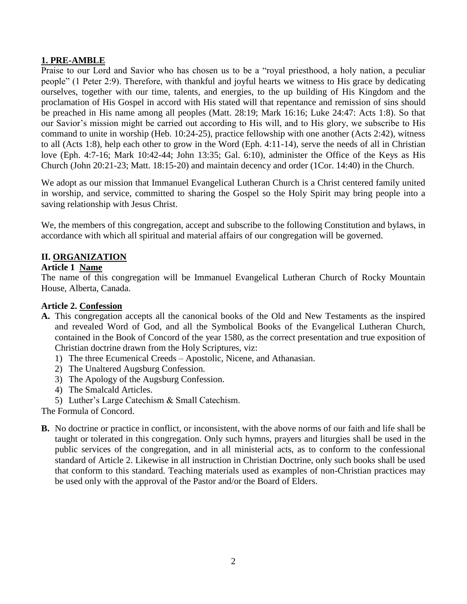# **1. PRE-AMBLE**

Praise to our Lord and Savior who has chosen us to be a "royal priesthood, a holy nation, a peculiar people" (1 Peter 2:9). Therefore, with thankful and joyful hearts we witness to His grace by dedicating ourselves, together with our time, talents, and energies, to the up building of His Kingdom and the proclamation of His Gospel in accord with His stated will that repentance and remission of sins should be preached in His name among all peoples (Matt. 28:19; Mark 16:16; Luke 24:47: Acts 1:8). So that our Savior's mission might be carried out according to His will, and to His glory, we subscribe to His command to unite in worship (Heb. 10:24-25), practice fellowship with one another (Acts 2:42), witness to all (Acts 1:8), help each other to grow in the Word (Eph. 4:11-14), serve the needs of all in Christian love (Eph. 4:7-16; Mark 10:42-44; John 13:35; Gal. 6:10), administer the Office of the Keys as His Church (John 20:21-23; Matt. 18:15-20) and maintain decency and order (1Cor. 14:40) in the Church.

We adopt as our mission that Immanuel Evangelical Lutheran Church is a Christ centered family united in worship, and service, committed to sharing the Gospel so the Holy Spirit may bring people into a saving relationship with Jesus Christ.

We, the members of this congregation, accept and subscribe to the following Constitution and bylaws, in accordance with which all spiritual and material affairs of our congregation will be governed.

## **II. ORGANIZATION**

#### **Article 1 Name**

The name of this congregation will be Immanuel Evangelical Lutheran Church of Rocky Mountain House, Alberta, Canada.

### **Article 2. Confession**

- **A.** This congregation accepts all the canonical books of the Old and New Testaments as the inspired and revealed Word of God, and all the Symbolical Books of the Evangelical Lutheran Church, contained in the Book of Concord of the year 1580, as the correct presentation and true exposition of Christian doctrine drawn from the Holy Scriptures, viz:
	- 1) The three Ecumenical Creeds Apostolic, Nicene, and Athanasian.
	- 2) The Unaltered Augsburg Confession.
	- 3) The Apology of the Augsburg Confession.
	- 4) The Smalcald Articles.
	- 5) Luther's Large Catechism & Small Catechism.

The Formula of Concord.

**B.** No doctrine or practice in conflict, or inconsistent, with the above norms of our faith and life shall be taught or tolerated in this congregation. Only such hymns, prayers and liturgies shall be used in the public services of the congregation, and in all ministerial acts, as to conform to the confessional standard of Article 2. Likewise in all instruction in Christian Doctrine, only such books shall be used that conform to this standard. Teaching materials used as examples of non-Christian practices may be used only with the approval of the Pastor and/or the Board of Elders.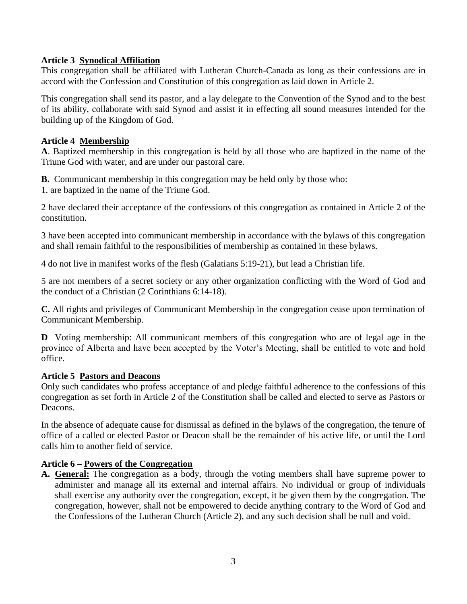# **Article 3 Synodical Affiliation**

This congregation shall be affiliated with Lutheran Church-Canada as long as their confessions are in accord with the Confession and Constitution of this congregation as laid down in Article 2.

This congregation shall send its pastor, and a lay delegate to the Convention of the Synod and to the best of its ability, collaborate with said Synod and assist it in effecting all sound measures intended for the building up of the Kingdom of God.

### **Article 4 Membership**

**A**. Baptized membership in this congregation is held by all those who are baptized in the name of the Triune God with water, and are under our pastoral care.

**B.** Communicant membership in this congregation may be held only by those who:

1. are baptized in the name of the Triune God.

2 have declared their acceptance of the confessions of this congregation as contained in Article 2 of the constitution.

3 have been accepted into communicant membership in accordance with the bylaws of this congregation and shall remain faithful to the responsibilities of membership as contained in these bylaws.

4 do not live in manifest works of the flesh (Galatians 5:19-21), but lead a Christian life.

5 are not members of a secret society or any other organization conflicting with the Word of God and the conduct of a Christian (2 Corinthians 6:14-18).

**C.** All rights and privileges of Communicant Membership in the congregation cease upon termination of Communicant Membership.

**D** Voting membership: All communicant members of this congregation who are of legal age in the province of Alberta and have been accepted by the Voter's Meeting, shall be entitled to vote and hold office.

#### **Article 5 Pastors and Deacons**

Only such candidates who profess acceptance of and pledge faithful adherence to the confessions of this congregation as set forth in Article 2 of the Constitution shall be called and elected to serve as Pastors or Deacons.

In the absence of adequate cause for dismissal as defined in the bylaws of the congregation, the tenure of office of a called or elected Pastor or Deacon shall be the remainder of his active life, or until the Lord calls him to another field of service.

### **Article 6 – Powers of the Congregation**

**A. General:** The congregation as a body, through the voting members shall have supreme power to administer and manage all its external and internal affairs. No individual or group of individuals shall exercise any authority over the congregation, except, it be given them by the congregation. The congregation, however, shall not be empowered to decide anything contrary to the Word of God and the Confessions of the Lutheran Church (Article 2), and any such decision shall be null and void.